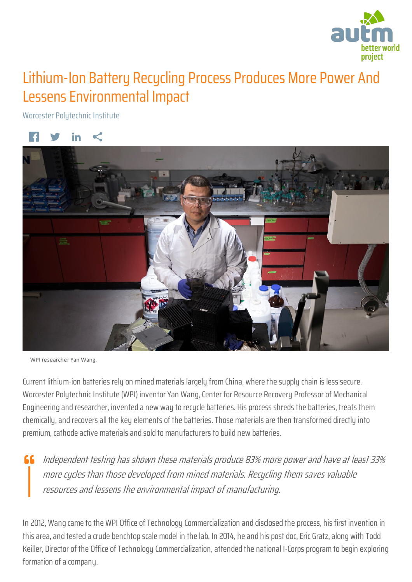

## Lithium-Ion Battery Recycling Process Produces More Power And Lessens Environmental Impact

Worcester Polytechnic Institute



WPI researcher Yan Wang.

Current lithium-ion batteries rely on mined materials largely from China, where the supply chain is less secure. Worcester Polytechnic Institute (WPI) inventor Yan Wang, Center for Resource Recovery Professor of Mechanical Engineering and researcher, invented a new way to recycle batteries. His process shreds the batteries, treats them chemically, and recovers all the key elements of the batteries. Those materials are then transformed directly into premium, cathode active materials and sold to manufacturers to build new batteries.

 $\mathsf{f}\mathsf{f}$  Independent testing has shown these materials produce 83% more power and have at least 33% more cycles than those developed from mined materials. Recycling them saves valuable resources and lessens the environmental impact of manufacturing.

In 2012, Wang came to the WPI Office of Technology Commercialization and disclosed the process, his first invention in this area, and tested a crude benchtop scale model in the lab. In 2014, he and his post doc, Eric Gratz, along with Todd Keiller, Director of the Office of Technology Commercialization, attended the national I-Corps program to begin exploring formation of a company.